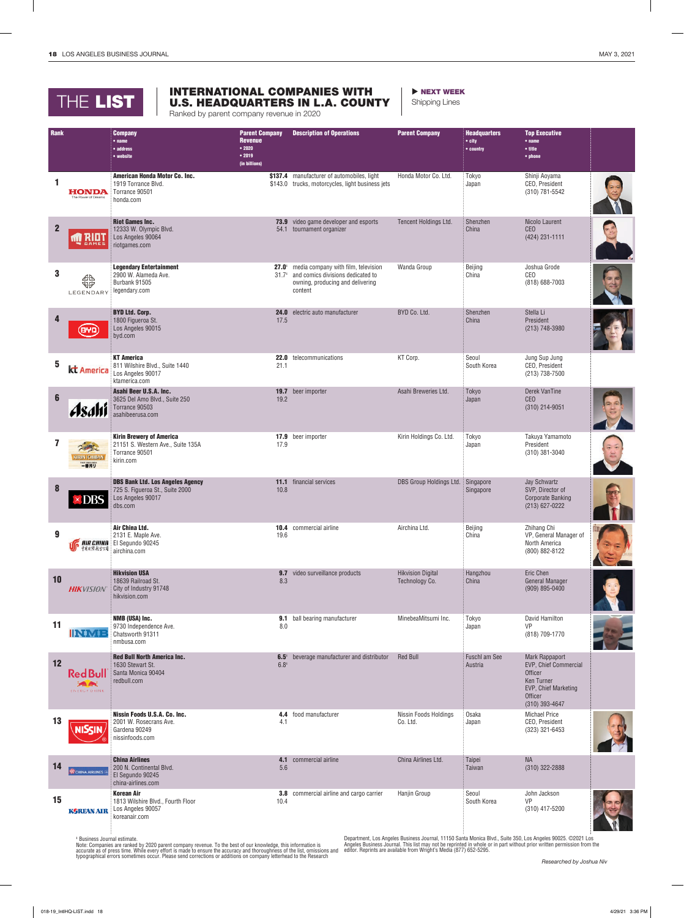## THE LIST

## INTERNATIONAL COMPANIES WITH U.S. HEADQUARTERS IN L.A. COUNTY

Ranked by parent company revenue in 2020

**NEXT WEEK** 

Shipping Lines

| Rank             |                                                  | <b>Company</b><br>$•$ name<br>• address<br>• website                                                       | <b>Parent Company</b><br><b>Revenue</b><br>• 2020<br>• 2019<br>(in billions) | <b>Description of Operations</b>                                                                                                          | <b>Parent Company</b>                      | <b>Headquarters</b><br>$\bullet$ city<br>• country | <b>Top Executive</b><br>$•$ name<br>• title<br>• phone                                                                              |  |
|------------------|--------------------------------------------------|------------------------------------------------------------------------------------------------------------|------------------------------------------------------------------------------|-------------------------------------------------------------------------------------------------------------------------------------------|--------------------------------------------|----------------------------------------------------|-------------------------------------------------------------------------------------------------------------------------------------|--|
| 1                | <b>HONDA</b><br>The Power of Dreams              | American Honda Motor Co. Inc.<br>1919 Torrance Blvd.<br>Torrance 90501<br>honda.com                        |                                                                              | \$137.4 manufacturer of automobiles, light<br>\$143.0 trucks, motorcycles, light business jets                                            | Honda Motor Co. Ltd.                       | Tokyo<br>Japan                                     | Shinji Aoyama<br>CEO, President<br>(310) 781-5542                                                                                   |  |
| $\overline{2}$   | <b>MERIOT</b><br><b>GAMES</b>                    | <b>Riot Games Inc.</b><br>12333 W. Olympic Blvd.<br>Los Angeles 90064<br>riotgames.com                     |                                                                              | <b>73.9</b> video game developer and esports<br>54.1 tournament organizer                                                                 | Tencent Holdings Ltd.                      | Shenzhen<br>China                                  | Nicolo Laurent<br><b>CEO</b><br>(424) 231-1111                                                                                      |  |
| 3                | 邻<br>LEGENDARY                                   | <b>Legendary Entertainment</b><br>2900 W. Alameda Ave.<br>Burbank 91505<br>legendary.com                   | 31.7 <sup>1</sup>                                                            | 27.0 <sup>t</sup> media company with film, television<br>and comics divisions dedicated to<br>owning, producing and delivering<br>content | Wanda Group                                | Beijing<br>China                                   | Joshua Grode<br><b>CEO</b><br>(818) 688-7003                                                                                        |  |
| 4                | (940)                                            | <b>BYD Ltd. Corp.</b><br>1800 Figueroa St.<br>Los Angeles 90015<br>byd.com                                 | 17.5                                                                         | 24.0 electric auto manufacturer                                                                                                           | BYD Co. Ltd.                               | Shenzhen<br>China                                  | Stella Li<br>President<br>(213) 748-3980                                                                                            |  |
| 5                | kt America                                       | <b>KT America</b><br>811 Wilshire Blvd., Suite 1440<br>Los Angeles 90017<br>ktamerica.com                  | 21.1                                                                         | 22.0 telecommunications                                                                                                                   | KT Corp.                                   | Seoul<br>South Korea                               | Jung Sup Jung<br>CEO, President<br>(213) 738-7500                                                                                   |  |
| $6\phantom{a}$   | Asahi                                            | Asahi Beer U.S.A. Inc.<br>3625 Del Amo Blvd., Suite 250<br>Torrance 90503<br>asahibeerusa.com              | 19.2                                                                         | 19.7 beer importer                                                                                                                        | Asahi Breweries Ltd.                       | Tokyo<br>Japan                                     | Derek VanTine<br><b>CEO</b><br>$(310)$ 214-9051                                                                                     |  |
| 7                | <b>KIRIN ICHIBAN</b><br>[est mus sur             | <b>Kirin Brewery of America</b><br>21151 S. Western Ave., Suite 135A<br>Torrance 90501<br>kirin.com        | 17.9                                                                         | 17.9 beer importer                                                                                                                        | Kirin Holdings Co. Ltd.                    | Tokyo<br>Japan                                     | Takuya Yamamoto<br>President<br>$(310)$ 381-3040                                                                                    |  |
| 8                | $\times$ DBS                                     | <b>DBS Bank Ltd. Los Angeles Agency</b><br>725 S. Figueroa St., Suite 2000<br>Los Angeles 90017<br>dbs.com | 10.8                                                                         | <b>11.1</b> financial services                                                                                                            | DBS Group Holdings Ltd. Singapore          | Singapore                                          | Jay Schwartz<br>SVP, Director of<br><b>Corporate Banking</b><br>(213) 627-0222                                                      |  |
| $\boldsymbol{9}$ |                                                  | Air China Ltd.<br>2131 E. Maple Ave.<br><b>FIREHINA</b> El Segundo 90245<br>airchina.com                   | 19.6                                                                         | <b>10.4</b> commercial airline                                                                                                            | Airchina Ltd.                              | Beijing<br>China                                   | Zhihang Chi<br>VP, General Manager of<br>North America<br>(800) 882-8122                                                            |  |
| 10               | <b>HIKVISION</b>                                 | <b>Hikvision USA</b><br>18639 Railroad St.<br>City of Industry 91748<br>hikvision.com                      | 9.7<br>8.3                                                                   | video surveillance products                                                                                                               | <b>Hikvision Digital</b><br>Technology Co. | Hangzhou<br>China                                  | Eric Chen<br><b>General Manager</b><br>(909) 895-0400                                                                               |  |
| 11               | <b>INMB</b>                                      | NMB (USA) Inc.<br>9730 Independence Ave.<br>Chatsworth 91311<br>nmbusa.com                                 | 8.0                                                                          | <b>9.1</b> ball bearing manufacturer                                                                                                      | MinebeaMitsumi Inc.                        | Tokyo<br>Japan                                     | David Hamilton<br>VP<br>(818) 709-1770                                                                                              |  |
| 12               | <b>Red Bull</b><br><b>SAMPLE</b><br>ENERGY DRINK | <b>Red Bull North America Inc.</b><br>1630 Stewart St.<br>Santa Monica 90404<br>redbull.com                | 6.5 <sup>1</sup><br>$6.8^{1}$                                                | beverage manufacturer and distributor                                                                                                     | <b>Red Bull</b>                            | Fuschl am See<br>Austria                           | <b>Mark Rappaport</b><br>EVP, Chief Commercial<br>Officer<br><b>Ken Turner</b><br>EVP, Chief Marketing<br>Officer<br>(310) 393-4647 |  |
| 13               | <b>NISCIN</b>                                    | Nissin Foods U.S.A. Co. Inc.<br>2001 W. Rosecrans Ave.<br>Gardena 90249<br>nissinfoods.com                 | 4.1                                                                          | 4.4 food manufacturer                                                                                                                     | Nissin Foods Holdings<br>Co. Ltd.          | Osaka<br>Japan                                     | <b>Michael Price</b><br>CEO, President<br>(323) 321-6453                                                                            |  |
| 14               | CHINA AIRLINES                                   | <b>China Airlines</b><br>200 N. Continental Blvd.<br>El Segundo 90245<br>china-airlines.com                | 4.1<br>5.6                                                                   | commercial airline                                                                                                                        | China Airlines Ltd.                        | Taipei<br>Taiwan                                   | <b>NA</b><br>$(310)$ 322-2888                                                                                                       |  |
| 15               | <b>KGREAN AIR</b>                                | <b>Korean Air</b><br>1813 Wilshire Blvd., Fourth Floor<br>Los Angeles 90057<br>koreanair.com               | 10.4                                                                         | <b>3.8</b> commercial airline and cargo carrier                                                                                           | Hanjin Group                               | Seoul<br>South Korea                               | John Jackson<br>VP<br>(310) 417-5200                                                                                                |  |

' Business Journal estimate.<br>Note: Companies are ranked by 2020 parent company revenue. To the best of our knowledge, this information is<br>accurate as of press time. While every effort is made to ensure the accuracy and tho

Department, Los Angeles Business Journal, 11150 Santa Monica Blvd., Suite 350, Los Angeles 90025. ©2021 Los<br>Angeles Business Journal. This list may not be reprinted in whole or in part without prior written permission from